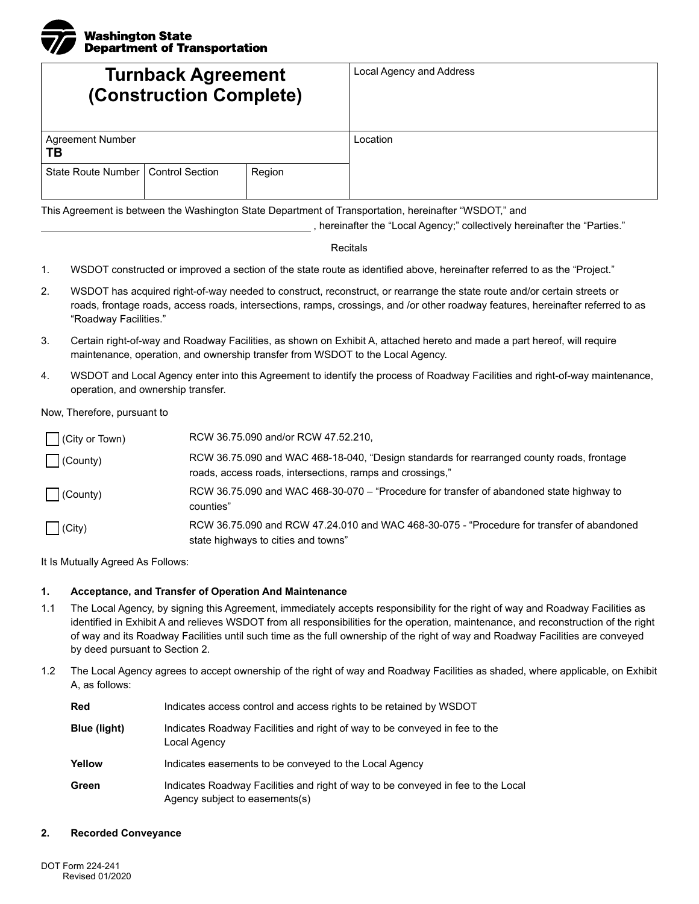

| <b>Turnback Agreement</b><br>(Construction Complete) |                        |        | Local Agency and Address |
|------------------------------------------------------|------------------------|--------|--------------------------|
| <b>Agreement Number</b><br>ТB                        |                        |        | Location                 |
| State Route Number                                   | <b>Control Section</b> | Region |                          |

This Agreement is between the Washington State Department of Transportation, hereinafter "WSDOT," and

, hereinafter the "Local Agency;" collectively hereinafter the "Parties."

## Recitals

- 1. WSDOT constructed or improved a section of the state route as identified above, hereinafter referred to as the "Project."
- 2. WSDOT has acquired right-of-way needed to construct, reconstruct, or rearrange the state route and/or certain streets or roads, frontage roads, access roads, intersections, ramps, crossings, and /or other roadway features, hereinafter referred to as "Roadway Facilities."
- 3. Certain right-of-way and Roadway Facilities, as shown on Exhibit A, attached hereto and made a part hereof, will require maintenance, operation, and ownership transfer from WSDOT to the Local Agency.
- 4. WSDOT and Local Agency enter into this Agreement to identify the process of Roadway Facilities and right-of-way maintenance, operation, and ownership transfer.

Now, Therefore, pursuant to

| (City or Town)     | RCW 36.75.090 and/or RCW 47.52.210.                                                                                                                    |
|--------------------|--------------------------------------------------------------------------------------------------------------------------------------------------------|
| $\bigcap$ (County) | RCW 36.75.090 and WAC 468-18-040, "Design standards for rearranged county roads, frontage<br>roads, access roads, intersections, ramps and crossings," |
| County)            | RCW 36.75.090 and WAC 468-30-070 – "Procedure for transfer of abandoned state highway to<br>counties"                                                  |
| $\bigcap$ (City)   | RCW 36.75.090 and RCW 47.24.010 and WAC 468-30-075 - "Procedure for transfer of abandoned<br>state highways to cities and towns"                       |

It Is Mutually Agreed As Follows:

## **1. Acceptance, and Transfer of Operation And Maintenance**

- 1.1 The Local Agency, by signing this Agreement, immediately accepts responsibility for the right of way and Roadway Facilities as identified in Exhibit A and relieves WSDOT from all responsibilities for the operation, maintenance, and reconstruction of the right of way and its Roadway Facilities until such time as the full ownership of the right of way and Roadway Facilities are conveyed by deed pursuant to Section 2.
- 1.2 The Local Agency agrees to accept ownership of the right of way and Roadway Facilities as shaded, where applicable, on Exhibit A, as follows:

| Red          | Indicates access control and access rights to be retained by WSDOT                                                 |  |  |
|--------------|--------------------------------------------------------------------------------------------------------------------|--|--|
| Blue (light) | Indicates Roadway Facilities and right of way to be conveyed in fee to the<br>Local Agency                         |  |  |
| Yellow       | Indicates easements to be conveyed to the Local Agency                                                             |  |  |
| Green        | Indicates Roadway Facilities and right of way to be conveyed in fee to the Local<br>Agency subject to easements(s) |  |  |

## **2. Recorded Conveyance**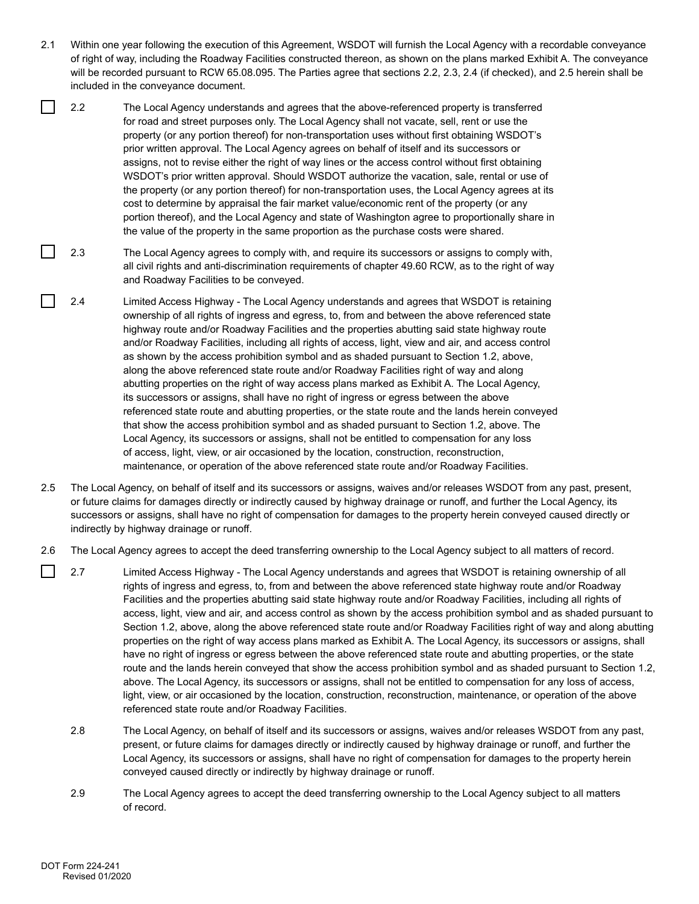- 2.1 Within one year following the execution of this Agreement, WSDOT will furnish the Local Agency with a recordable conveyance of right of way, including the Roadway Facilities constructed thereon, as shown on the plans marked Exhibit A. The conveyance will be recorded pursuant to RCW 65.08.095. The Parties agree that sections 2.2, 2.3, 2.4 (if checked), and 2.5 herein shall be included in the conveyance document.
- 2.2 The Local Agency understands and agrees that the above-referenced property is transferred for road and street purposes only. The Local Agency shall not vacate, sell, rent or use the property (or any portion thereof) for non-transportation uses without first obtaining WSDOT's prior written approval. The Local Agency agrees on behalf of itself and its successors or assigns, not to revise either the right of way lines or the access control without first obtaining WSDOT's prior written approval. Should WSDOT authorize the vacation, sale, rental or use of the property (or any portion thereof) for non-transportation uses, the Local Agency agrees at its cost to determine by appraisal the fair market value/economic rent of the property (or any portion thereof), and the Local Agency and state of Washington agree to proportionally share in the value of the property in the same proportion as the purchase costs were shared.
- 2.3 The Local Agency agrees to comply with, and require its successors or assigns to comply with, all civil rights and anti-discrimination requirements of chapter 49.60 RCW, as to the right of way and Roadway Facilities to be conveyed.
- 2.4 Limited Access Highway The Local Agency understands and agrees that WSDOT is retaining ownership of all rights of ingress and egress, to, from and between the above referenced state highway route and/or Roadway Facilities and the properties abutting said state highway route and/or Roadway Facilities, including all rights of access, light, view and air, and access control as shown by the access prohibition symbol and as shaded pursuant to Section 1.2, above, along the above referenced state route and/or Roadway Facilities right of way and along abutting properties on the right of way access plans marked as Exhibit A. The Local Agency, its successors or assigns, shall have no right of ingress or egress between the above referenced state route and abutting properties, or the state route and the lands herein conveyed that show the access prohibition symbol and as shaded pursuant to Section 1.2, above. The Local Agency, its successors or assigns, shall not be entitled to compensation for any loss of access, light, view, or air occasioned by the location, construction, reconstruction, maintenance, or operation of the above referenced state route and/or Roadway Facilities.
- 2.5 The Local Agency, on behalf of itself and its successors or assigns, waives and/or releases WSDOT from any past, present, or future claims for damages directly or indirectly caused by highway drainage or runoff, and further the Local Agency, its successors or assigns, shall have no right of compensation for damages to the property herein conveyed caused directly or indirectly by highway drainage or runoff.
- 2.6 The Local Agency agrees to accept the deed transferring ownership to the Local Agency subject to all matters of record.
- $\mathsf{I}$ 2.7 Limited Access Highway - The Local Agency understands and agrees that WSDOT is retaining ownership of all rights of ingress and egress, to, from and between the above referenced state highway route and/or Roadway Facilities and the properties abutting said state highway route and/or Roadway Facilities, including all rights of access, light, view and air, and access control as shown by the access prohibition symbol and as shaded pursuant to Section 1.2, above, along the above referenced state route and/or Roadway Facilities right of way and along abutting properties on the right of way access plans marked as Exhibit A. The Local Agency, its successors or assigns, shall have no right of ingress or egress between the above referenced state route and abutting properties, or the state route and the lands herein conveyed that show the access prohibition symbol and as shaded pursuant to Section 1.2, above. The Local Agency, its successors or assigns, shall not be entitled to compensation for any loss of access, light, view, or air occasioned by the location, construction, reconstruction, maintenance, or operation of the above referenced state route and/or Roadway Facilities.
	- 2.8 The Local Agency, on behalf of itself and its successors or assigns, waives and/or releases WSDOT from any past, present, or future claims for damages directly or indirectly caused by highway drainage or runoff, and further the Local Agency, its successors or assigns, shall have no right of compensation for damages to the property herein conveyed caused directly or indirectly by highway drainage or runoff.
	- 2.9 The Local Agency agrees to accept the deed transferring ownership to the Local Agency subject to all matters of record.